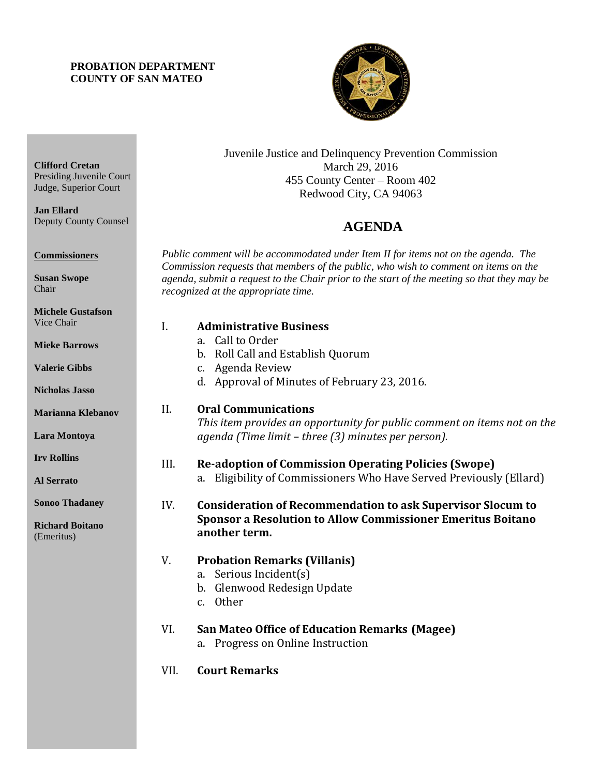#### **PROBATION DEPARTMENT COUNTY OF SAN MATEO**

**Clifford Cretan**

**Jan Ellard**

**Commissioners**

**Susan Swope** Chair

Presiding Juvenile Court Judge, Superior Court

Deputy County Counsel



Juvenile Justice and Delinquency Prevention Commission March 29, 2016 455 County Center – Room 402 Redwood City, CA 94063

# 4B**AGENDA**

*Public comment will be accommodated under Item II for items not on the agenda. The Commission requests that members of the public, who wish to comment on items on the agenda, submit a request to the Chair prior to the start of the meeting so that they may be recognized at the appropriate time.* 

| <b>Michele Gustafson</b>             |      |                                                                                                          |
|--------------------------------------|------|----------------------------------------------------------------------------------------------------------|
| Vice Chair                           | I.   | <b>Administrative Business</b>                                                                           |
| <b>Mieke Barrows</b>                 |      | a. Call to Order<br>b. Roll Call and Establish Quorum                                                    |
| <b>Valerie Gibbs</b>                 |      | c. Agenda Review<br>d. Approval of Minutes of February 23, 2016.                                         |
| <b>Nicholas Jasso</b>                |      |                                                                                                          |
| <b>Marianna Klebanov</b>             | II.  | <b>Oral Communications</b><br>This item provides an opportunity for public comment on items not on the   |
| Lara Montoya                         |      | agenda (Time limit – three (3) minutes per person).                                                      |
| <b>Irv Rollins</b>                   | III. | <b>Re-adoption of Commission Operating Policies (Swope)</b>                                              |
| <b>Al Serrato</b>                    |      | a. Eligibility of Commissioners Who Have Served Previously (Ellard)                                      |
| <b>Sonoo Thadaney</b>                | IV.  | <b>Consideration of Recommendation to ask Supervisor Slocum to</b>                                       |
| <b>Richard Boitano</b><br>(Emeritus) |      | <b>Sponsor a Resolution to Allow Commissioner Emeritus Boitano</b><br>another term.                      |
|                                      | V.   | <b>Probation Remarks (Villanis)</b><br>a. Serious Incident(s)<br>b. Glenwood Redesign Update<br>c. Other |
|                                      | VI.  | <b>San Mateo Office of Education Remarks (Magee)</b><br>a. Progress on Online Instruction                |

VII. **Court Remarks**